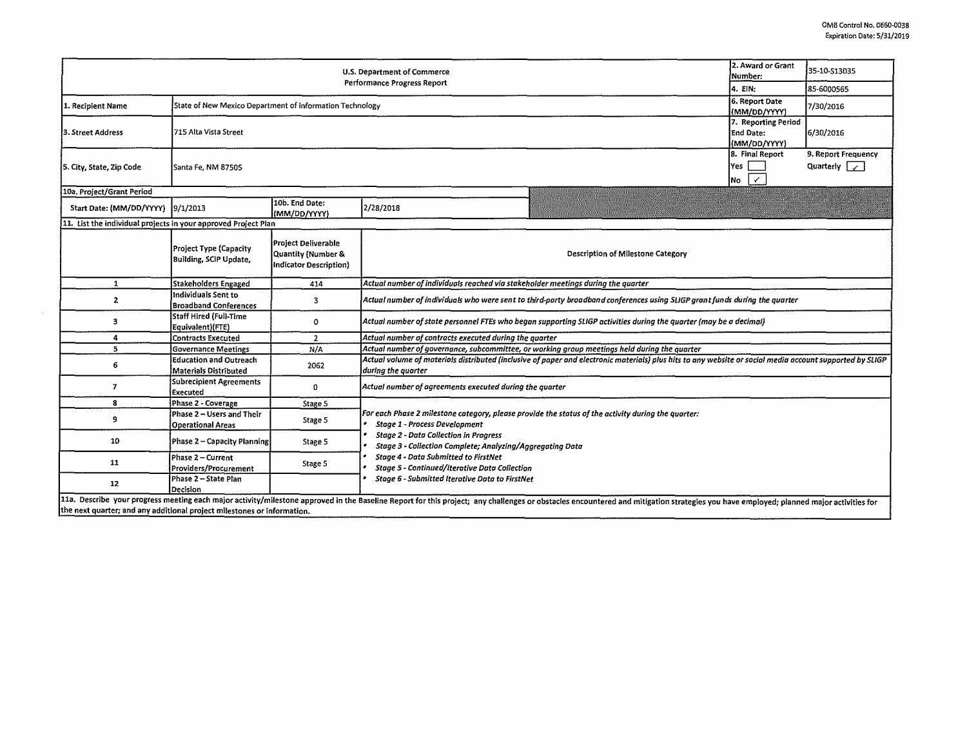|                                                                         | 2. Award or Grant<br>Number:                                              | 35-10-513035                                                               |                                                                                                                                                                                                                                |  |           |  |  |  |  |
|-------------------------------------------------------------------------|---------------------------------------------------------------------------|----------------------------------------------------------------------------|--------------------------------------------------------------------------------------------------------------------------------------------------------------------------------------------------------------------------------|--|-----------|--|--|--|--|
|                                                                         | 4. EIN:                                                                   | 85-6000565                                                                 |                                                                                                                                                                                                                                |  |           |  |  |  |  |
| 1. Recipient Name                                                       | State of New Mexico Department of Information Technology                  | 6. Report Date<br>(MM/DD/YYYY)                                             | 7/30/2016                                                                                                                                                                                                                      |  |           |  |  |  |  |
| 3. Street Address                                                       | 7. Reporting Period<br>715 Alta Vista Street<br>End Date:<br>(MM/DD/YYYY) |                                                                            |                                                                                                                                                                                                                                |  | 6/30/2016 |  |  |  |  |
| 5. City, State, Zip Code                                                | Santa Fe, NM 87505                                                        | 8. Final Report<br>Yes<br>$\checkmark$<br>No                               | 9. Report Frequency<br>Quarterly $\sqrt{ }$                                                                                                                                                                                    |  |           |  |  |  |  |
| 10a. Project/Grant Period                                               |                                                                           |                                                                            |                                                                                                                                                                                                                                |  |           |  |  |  |  |
| Start Date: (MM/DD/YYYY)  9/1/2013                                      |                                                                           | 10b. End Date:<br>(IMM/DD/YYYY)                                            | 2/28/2018                                                                                                                                                                                                                      |  |           |  |  |  |  |
| 11. List the individual projects in your approved Project Plan          |                                                                           |                                                                            |                                                                                                                                                                                                                                |  |           |  |  |  |  |
|                                                                         | Project Type (Capacity<br><b>Building, SCIP Update,</b>                   | Project Deliverable<br>Quantity (Number &<br><b>Indicator Description)</b> | Description of Milestone Category                                                                                                                                                                                              |  |           |  |  |  |  |
| $\mathbf{1}$                                                            | Stakeholders Engaged                                                      | 414                                                                        | Actual number of individuals reached via stakeholder meetings during the quarter                                                                                                                                               |  |           |  |  |  |  |
| 2                                                                       | lindividuals Sent to<br><b>Broadband Conferences</b>                      | 3                                                                          | Actual number of individuals who were sent to third-party broadband conferences using SLIGP grant funds during the quarter                                                                                                     |  |           |  |  |  |  |
| 3                                                                       | lStaff Hired (Full-Time<br>Equivalent)(FTE)                               | 0                                                                          | Actual number of state personnel FTEs who began supporting SLIGP activities during the quarter (may be a decimal)                                                                                                              |  |           |  |  |  |  |
| 4                                                                       | Contracts Executed                                                        | 2                                                                          | Actual number of contracts executed during the quarter                                                                                                                                                                         |  |           |  |  |  |  |
| 5                                                                       | Governance Meetings                                                       | N/A                                                                        | Actual number of governance, subcommittee, or working group meetings held during the quarter                                                                                                                                   |  |           |  |  |  |  |
| 6                                                                       | Education and Outreach<br>Materials Distributed                           | 2062                                                                       | Actual volume of materials distributed (inclusive of paper and electronic materials) plus hits to any website or social media account supported by SLIGP<br>during the quarter                                                 |  |           |  |  |  |  |
| 7                                                                       | <b>Subrecipient Agreements</b><br>Executed                                | 0                                                                          | Actual number of agreements executed during the quarter                                                                                                                                                                        |  |           |  |  |  |  |
| 8                                                                       | Phase 2 - Coverage                                                        | Stage 5                                                                    |                                                                                                                                                                                                                                |  |           |  |  |  |  |
| 9                                                                       | Phase 2 - Users and Their<br><b>Operational Areas</b>                     | Stage 5                                                                    | For each Phase 2 milestone category, please provide the status of the activity during the quarter:<br><b>Stage 1 - Process Development</b>                                                                                     |  |           |  |  |  |  |
| 10                                                                      | Phase 2 - Capacity Planning                                               | Stage 5                                                                    | <b>Stage 2 - Data Collection in Progress</b><br>Stage 3 - Collection Complete; Analyzing/Aagregating Data<br>Stage 4 - Data Submitted to FirstNet<br>Stage 5 - Continued/Iterative Data Collection                             |  |           |  |  |  |  |
| 11                                                                      | Phase 2 - Current<br>Providers/Procurement                                | Stage 5                                                                    |                                                                                                                                                                                                                                |  |           |  |  |  |  |
| 12                                                                      | Phase 2 - State Plan<br>Decision                                          |                                                                            | Stage 6 - Submitted Iterative Data to FirstNet                                                                                                                                                                                 |  |           |  |  |  |  |
| the next quarter; and any additional project milestones or information. |                                                                           |                                                                            | 11a. Describe your progress meeting each major activity/milestone approved in the Baseline Report for this project; any challenges or obstacles encountered and mitigation strategies you have employed; planned major activit |  |           |  |  |  |  |

 $\sim$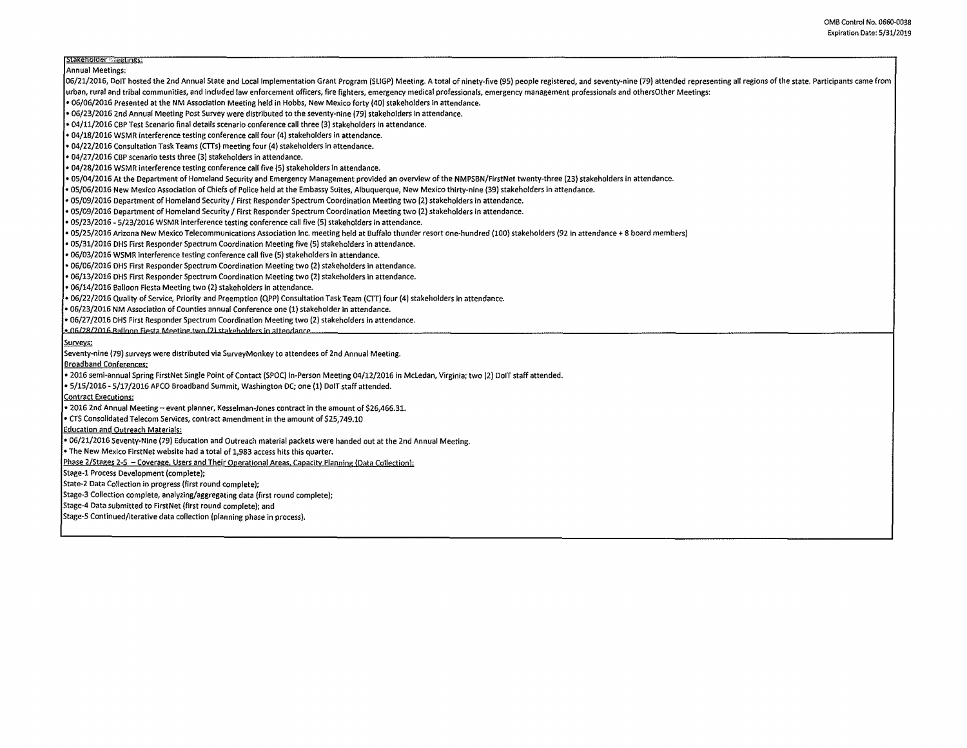## **r:stoxeno1aer·F~:~**

Annual Meetings:

06/21/2016, DoIT hosted the 2nd Annual State and Local Implementation Grant Program (SLIGP) Meeting. A total of ninety-five (95) people registered, and seventy-nine (79) attended representing all regions of the state. Part

urban, rural and tribal communities, and included law enforcement officers, fire fighters, emergency medical professionals, emergency management professionals and othersOther Meetings:

• 06/06/2016 Presented at the NM Association Meeting held in Hobbs, New Mexico forty (40) stakeholders in attendance.

• 06/23/2016 2nd Annual Meeting Post Survey were distributed to the seventy-nine (79) stakeholders in attendance.

• 04/11/2016 CBPTest Scenario final details scenario conference call three (3) stakeholders in attendance.

• 04/18/2016 WSMR interference testing conference call four (4) stakeholders in attendance.

• 04/22/2016 Consultation Task Teams (CTTs) meeting four (4) stakeholders in attendance.

• 04/27/2016 CBP scenario tests three (31 stakeholders in attendance.

• 04/28/2016 WSMR interference testing conference call five (5) stakeholders in attendance.

• 05/04/2016 At the Department of Homeland Security and Emergency Management provided an overview of the NMPSBN/FirstNet twenty-three (23) stakeholders in attendance.

• 05/06/2016 New Mexico Association of Chiefs of Police held at the Embassy Suites, Albuquerque, New Mexico thirty-nine (39) stakeholders in attendance.

• 05/09/2016 Department of Homeland Security/ First Responder Spectrum Coordination Meeting two (2) stakeholders in attendance.

• 05/09/2016 Department of Homeland Security/ First Responder Spectrum Coordination Meeting two (2) stakeholders in attendance.

• 05/23/2016 - 5/23/2016 WSMR interference testing conference call five (SI stakeholders in attendance.

• 05/ZS/2016 Arizona New Mexico Telecommunications Association Inc. meeting held at Buffalo thunder resort one-hundred (100) stakeholders (92 in attendance+ 8 board members)

• OS/31/2016 OHS First Responder Spectrum Coordination Meeting five (Sl stakeholders in attendance.

• 06/03/2016 WSMR interference testing conference call five (S) stakeholders in attendance.

• 06/06/2016 OHS First Responder Spectrum Coordination Meeting two (2) stakeholders in attendance.

• 06/13/2016 OHS First Responder Spectrum Coordination Meeting two {2) stakeholders In attendance.

• 06/14/2016 Balloon Fiesta Meeting two {2l stakeholders in attendance.

• 06/22/2016 Quality of Service, Priority and Preemption (QPP) Consultation Task Team (CTTl four (4) stakeholders in attendance.

• 06/23/2016 **NM** Association of Counties annual Conference one (1) stakeholder in attendance.

• 06/27/2016 OHS First Responder Spectrum Coordination Meeting two (2) stakeholders in attendance.

 $\cdot$  06/28/2016 Balloon Fiesta Meeting two (2) stakeholders in attendance.

Surveys:

Seventy-nine {79) surveys were distributed via SurveyMonkey to attendees of 2nd Annual Meeting.

Broadband Conferences:

• 2016 semi-annual Spring First Net Single Point of Contact (SPOC) In-Person Meetlng 04/12/2016 in Mcledan, Virginia; two (2) DolT staff attended.

• 5/15/2016-S/17/2016 APCO Broadband Summit, Washington DC; one (1) DolT staff attended.

Contract Executions:

• 2016 2nd Annual Meeting- event planner, Kesselman-Jones contract in the amount of \$26,466.31.

• CTS Consolidated Telecom Services, contract amendment in the amount of \$25,749.10

Education and Outreach Materials:

• 06/21/2016 Seventy-Nine (79) Education and Outreach material packets were handed out at the 2nd Annual Meeting.

• The New Mexico FirstNet website had a total of 1,983 access hits this quarter.

Phase 2/Stages 2-5 - Coverage, Users and Their Operational Areas, Capacity Planning (Data Collection):

Stage-1 Process Development (complete);

State-2 Data Collection in progress (first round complete);

Stage-3 Collection complete, analyiing/aggregating data (first round complete);

Stage-4 Data submitted to FirstNet (first round complete); and

Stage-5 Continued/iterative data collection (planning phase in process).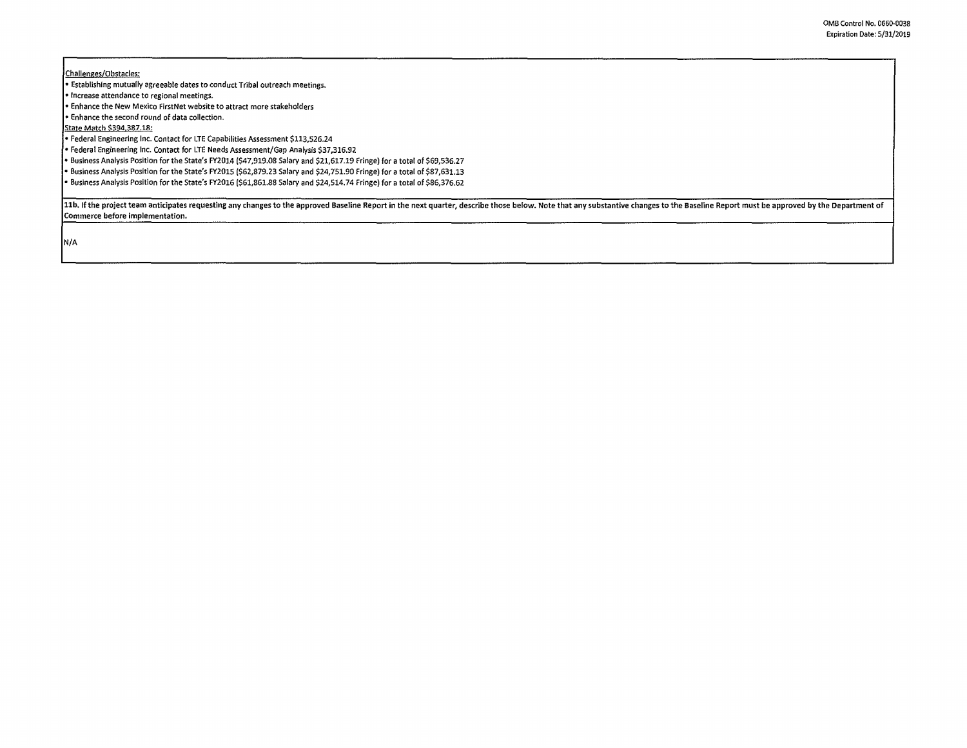Challenges/Obstacles:

• Establishing mutually agreeable dates to conduct Tribal outreach meetings.

• Increase attendance to regional meetings.

• Enhance the New Mexico FirstNet website to attract more stakeholders

• Enhance the second round of data collection.

State Match \$394,387.18:

• Federal Engineering Inc. Contact for LTE Capabilities Assessment \$113,526.24

• Federal Engineering Inc. Contact for LTE Needs Assessment/Gap Analysis \$37,316.92

• Business Analysis Position for the State's FY2014 (\$47,919.08 Salary and \$21,617.19 Fringe) for a total of \$69,536.27

• Business Analysis Position for the State's FY201S (\$62,879.23 Salary and \$24,751.90 Fringe) for a total of \$87,631.13

• Business Analysis Position for the State's FY2016 (\$61,861.88 Salary and \$24,514.74 Fringe) for a total of \$86,376.62

11b. If the project team anticipates requesting any changes to the approved Baseline Report in the next quarter, describe those below. Note that any substantive changes to the Baseline Report must be approved by the Depart Commerce before implementation.

N/A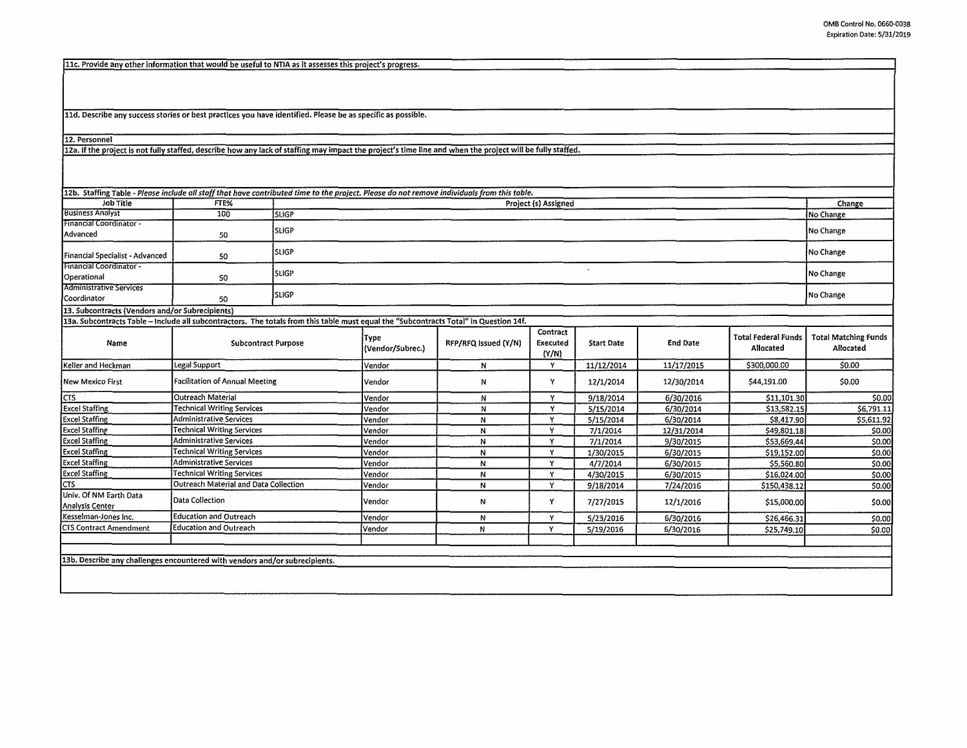\$0.00 \$0.00 \$0.00 \$0.00 \$0.00 S0.00 \$0.00 \$0.00  $\frac{1}{50.00}$ 

11c. Provide any other information that would be useful to NTIA as it assesses this project's progress.

lld. Describe any success stories or best practices you have identified. Please be as specific as possible.

12. Personnel

12a. If the project is not fully staffed, describe how any lack of staffing may impact the project's time line and when the project will be fully staffed.

Excel Staffing Technical Writing Services **Wendor N N Y YOS** Excel Staffing Administrative Services Vendor Vendor N Y Excel Staffing **Technical Writing Services** Vendor **N N Y**<br>Excel Staffing **Administrative Services** Vendor **N N Y Y** Excel Staffin2 Administrative Services Vendor **N** V

Excel Staffing Technical Writing Services<br>
The Courteach Material and Data Collection<br>
The Courte of Material and Data Collection<br>
Vendor N Vendor N V

Analysis Center **N Carlo Collection**<br>Analysis Center **N Carlo Collection Kesselman-Jones Inc.** Education and Outreach **Neuron Control Control Control Control Control Control Control Control Control Control Control Control Control Control Control Control Control Control Control Control Control** CTS Contract Amendment Education and Outreach Vendor Vendor N N Y

**Cutreach Material and Data Collection** Vendor **N N N N N N N N** 

| 12b. Staffing Table - Please include all staff that have contributed time to the project. Please do not remove individuals from this table. |                                       |                |                          |                      |                               |                   |                 |                                  |                                          |
|---------------------------------------------------------------------------------------------------------------------------------------------|---------------------------------------|----------------|--------------------------|----------------------|-------------------------------|-------------------|-----------------|----------------------------------|------------------------------------------|
| Job Title                                                                                                                                   | FTE%                                  |                | Project (s) Assigned     |                      |                               |                   |                 |                                  |                                          |
| <b>Business Analyst</b>                                                                                                                     | 10 <sub>0</sub>                       | SLIGP          |                          |                      |                               |                   |                 |                                  | No Change                                |
| Financial Coordinator -<br>Advanced                                                                                                         | 50                                    | <b>SLIGP</b>   |                          |                      |                               |                   |                 |                                  | No Change                                |
| Financial Specialist - Advanced                                                                                                             | 50                                    | <b>I</b> SLIGP |                          |                      |                               |                   |                 |                                  | No Change                                |
| Financial Coordinator -<br>Operational                                                                                                      | 50                                    | <b>SLIGP</b>   |                          |                      |                               |                   |                 |                                  | No Change                                |
| <b>Administrative Services</b><br>l Coordinator                                                                                             | 50                                    | <b>SLIGP</b>   |                          |                      |                               |                   |                 |                                  | No Change                                |
| 13. Subcontracts (Vendors and/or Subrecipients)                                                                                             |                                       |                |                          |                      |                               |                   |                 |                                  |                                          |
| 13a. Subcontracts Table – include all subcontractors. The totals from this table must equal the "Subcontracts Total" in Question 14f.       |                                       |                |                          |                      |                               |                   |                 |                                  |                                          |
| Name                                                                                                                                        | <b>Subcontract Purpose</b>            |                | Type<br>(Vendor/Subrec.) | RFP/RFQ Issued (Y/N) | Contract<br>Executed<br>(Y/N) | <b>Start Date</b> | <b>End Date</b> | Total Federal Funds<br>Allocated | <b>Total Matching Funds</b><br>Allocated |
| Keller and Heckman                                                                                                                          | Legal Support                         |                | Vendor                   | N                    |                               | 11/12/2014        | 11/17/2015      | \$300,000.00                     | \$0.00                                   |
| New Mexico First                                                                                                                            | <b>Facilitation of Annual Meeting</b> |                | Vendor                   | N                    |                               | 12/1/2014         | 12/30/2014      | \$44,191.00                      | \$0.00                                   |
| ICTS.                                                                                                                                       | Outreach Material                     |                | Vendor                   | N                    |                               | 9/18/2014         | 6/30/2016       | \$11,101.30                      | \$0.00                                   |
| Excel Staffing                                                                                                                              | Technical Writing Services            |                | Vendor                   | N                    | v                             | 5/15/2014         | 6/30/2014       | \$13,582.15                      | \$6,791.11                               |
| <b>Excel Staffing</b>                                                                                                                       | Administrative Services               |                | Vendor                   | Ν                    | v                             | 5/15/2014         | 6/30/2014       | \$8,417.90                       | \$5,611.92                               |

7/1/2014 12/31/2014 7/1/2014 9/30/2015<br>1/30/2015 6/30/2015

4/7/2014 6/30/2015<br>4/30/2015 6/30/2015 4/30/2015 6/30/2015<br>9/18/2014 7/24/2016

7/27/2015 12/1/2016 5/23/2016 6/30/2016 5/19/2016 6/30/2016

6/30/2015

\$49,801.18 \$53,669.44 \$19,152.00 \$5,560.80 \$16,024.00 \$150,438.12 \$15,000.00 \$26,466.31 \$25,749.10

9/18/2014 7/24/2016

13b. Describe any challenges encountered with vendors and/orsubrecipients.

Univ. Of NM Earth Data **Data Collection**